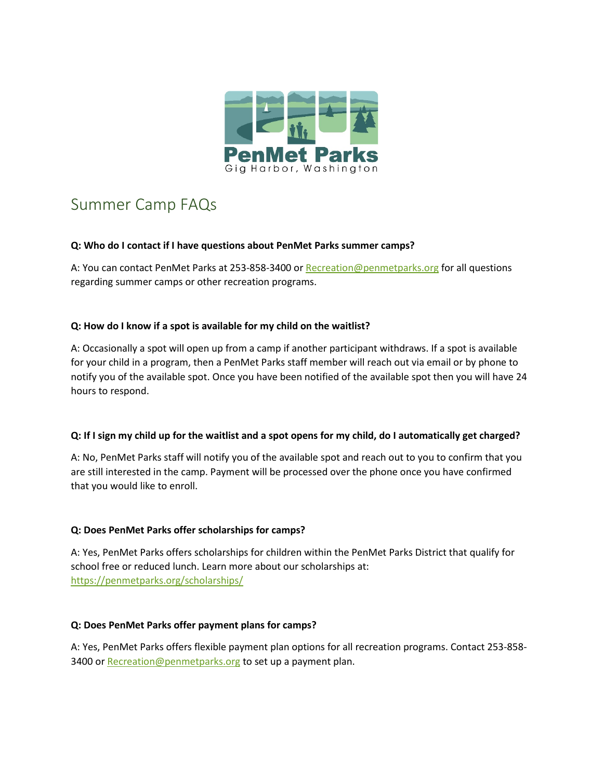

# Summer Camp FAQs

## **Q: Who do I contact if I have questions about PenMet Parks summer camps?**

A: You can contact PenMet Parks at 253-858-3400 o[r Recreation@penmetparks.org](mailto:Recreation@penmetparks.org) for all questions regarding summer camps or other recreation programs.

## **Q: How do I know if a spot is available for my child on the waitlist?**

A: Occasionally a spot will open up from a camp if another participant withdraws. If a spot is available for your child in a program, then a PenMet Parks staff member will reach out via email or by phone to notify you of the available spot. Once you have been notified of the available spot then you will have 24 hours to respond.

# **Q: If I sign my child up for the waitlist and a spot opens for my child, do I automatically get charged?**

A: No, PenMet Parks staff will notify you of the available spot and reach out to you to confirm that you are still interested in the camp. Payment will be processed over the phone once you have confirmed that you would like to enroll.

# **Q: Does PenMet Parks offer scholarships for camps?**

A: Yes, PenMet Parks offers scholarships for children within the PenMet Parks District that qualify for school free or reduced lunch. Learn more about our scholarships at: <https://penmetparks.org/scholarships/>

#### **Q: Does PenMet Parks offer payment plans for camps?**

A: Yes, PenMet Parks offers flexible payment plan options for all recreation programs. Contact 253-858- 3400 or [Recreation@penmetparks.org](mailto:Recreation@penmetparks.org) to set up a payment plan.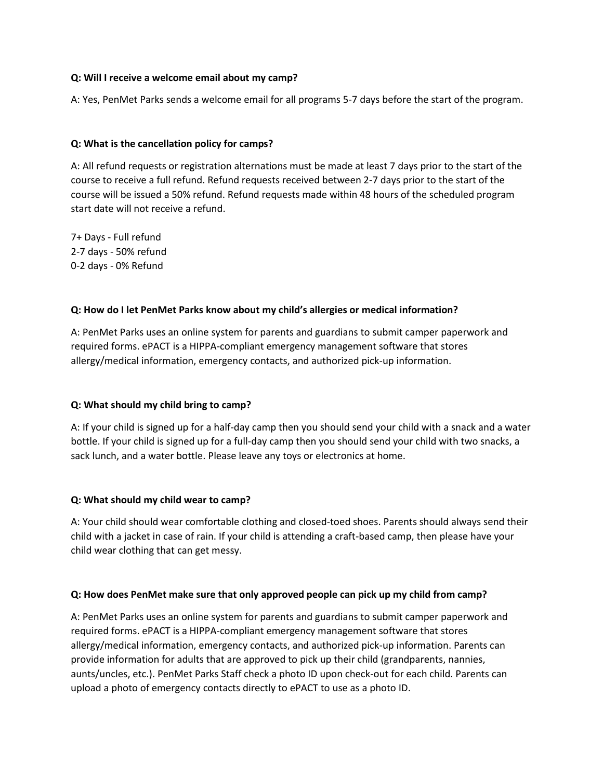#### **Q: Will I receive a welcome email about my camp?**

A: Yes, PenMet Parks sends a welcome email for all programs 5-7 days before the start of the program.

#### **Q: What is the cancellation policy for camps?**

A: All refund requests or registration alternations must be made at least 7 days prior to the start of the course to receive a full refund. Refund requests received between 2-7 days prior to the start of the course will be issued a 50% refund. Refund requests made within 48 hours of the scheduled program start date will not receive a refund.

7+ Days - Full refund 2-7 days - 50% refund 0-2 days - 0% Refund

#### **Q: How do I let PenMet Parks know about my child's allergies or medical information?**

A: PenMet Parks uses an online system for parents and guardians to submit camper paperwork and required forms. ePACT is a HIPPA-compliant emergency management software that stores allergy/medical information, emergency contacts, and authorized pick-up information.

# **Q: What should my child bring to camp?**

A: If your child is signed up for a half-day camp then you should send your child with a snack and a water bottle. If your child is signed up for a full-day camp then you should send your child with two snacks, a sack lunch, and a water bottle. Please leave any toys or electronics at home.

#### **Q: What should my child wear to camp?**

A: Your child should wear comfortable clothing and closed-toed shoes. Parents should always send their child with a jacket in case of rain. If your child is attending a craft-based camp, then please have your child wear clothing that can get messy.

# **Q: How does PenMet make sure that only approved people can pick up my child from camp?**

A: PenMet Parks uses an online system for parents and guardians to submit camper paperwork and required forms. ePACT is a HIPPA-compliant emergency management software that stores allergy/medical information, emergency contacts, and authorized pick-up information. Parents can provide information for adults that are approved to pick up their child (grandparents, nannies, aunts/uncles, etc.). PenMet Parks Staff check a photo ID upon check-out for each child. Parents can upload a photo of emergency contacts directly to ePACT to use as a photo ID.